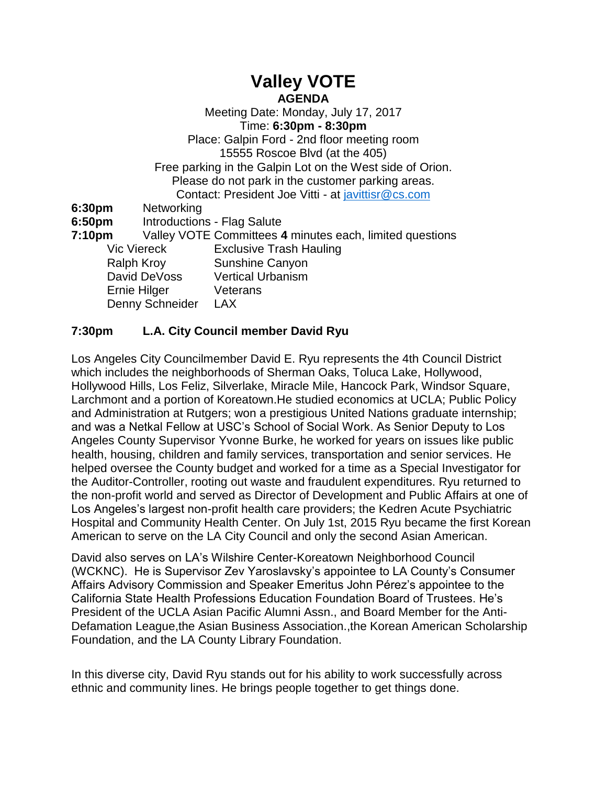# **Valley VOTE**

**AGENDA**

Meeting Date: Monday, July 17, 2017 Time: **6:30pm - 8:30pm** Place: Galpin Ford - 2nd floor meeting room 15555 Roscoe Blvd (at the 405) Free parking in the Galpin Lot on the West side of Orion. Please do not park in the customer parking areas. Contact: President Joe Vitti - at [javittisr@cs.com](mailto:javittisr@cs.com) **6:30pm** Networking **6:50pm** Introductions - Flag Salute **7:10pm** Valley VOTE Committees **4** minutes each, limited questions Vic Viereck Exclusive Trash Hauling Ralph Kroy Sunshine Canyon David DeVoss Vertical Urbanism Ernie Hilger Veterans Denny Schneider LAX

## **7:30pm L.A. City Council member David Ryu**

Los Angeles City Councilmember David E. Ryu represents the 4th Council District which includes the neighborhoods of Sherman Oaks, Toluca Lake, Hollywood, Hollywood Hills, Los Feliz, Silverlake, Miracle Mile, Hancock Park, Windsor Square, Larchmont and a portion of Koreatown.He studied economics at UCLA; Public Policy and Administration at Rutgers; won a prestigious United Nations graduate internship; and was a Netkal Fellow at USC's School of Social Work. As Senior Deputy to Los Angeles County Supervisor Yvonne Burke, he worked for years on issues like public health, housing, children and family services, transportation and senior services. He helped oversee the County budget and worked for a time as a Special Investigator for the Auditor-Controller, rooting out waste and fraudulent expenditures. Ryu returned to the non-profit world and served as Director of Development and Public Affairs at one of Los Angeles's largest non-profit health care providers; the Kedren Acute Psychiatric Hospital and Community Health Center. On July 1st, 2015 Ryu became the first Korean American to serve on the LA City Council and only the second Asian American.

David also serves on LA's Wilshire Center-Koreatown Neighborhood Council (WCKNC). He is Supervisor Zev Yaroslavsky's appointee to LA County's Consumer Affairs Advisory Commission and Speaker Emeritus John Pérez's appointee to the California State Health Professions Education Foundation Board of Trustees. He's President of the UCLA Asian Pacific Alumni Assn., and Board Member for the Anti-Defamation League,the Asian Business Association.,the Korean American Scholarship Foundation, and the LA County Library Foundation.

In this diverse city, David Ryu stands out for his ability to work successfully across ethnic and community lines. He brings people together to get things done.